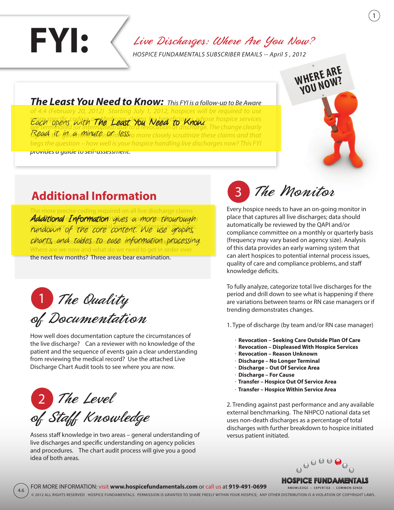Live Discharges: Where Are You Now?

*HOSPICE FUNDAMENTALS SUBSCRIBER EMAILS -- April 5 , 2012*

*The Least You Need to Know: This FYI is a follow-up to Be Aware of 4.4 (February 20, 2012) Starting July 1, 2012, hospices will be required to use more specific coding on Medicare claims for beneficiaries whose hospice services Each opens with The Least You Need to Know. The change services*<br>are terminated (or interrupted) ove to a revocation or discharge. The change clearly Read the ysvanMinute in the Sto more closely scrutinize these claims and that *begs the question – how well is your hospice handling live discharges now? This FYI provides a guide to self-assessment.* 

### **Additional Information**

**FYI:** 

ding required on all live discharge claims Additional Information gives a more thourough, rundown of the core content. We use graphs. This gives rise to two questions for all **Prudent Hospices**™. charts, and tables to ease information processing.Where are we now and what do we need to get in order over the next few months? Three areas bear examination.

1 The Quality of Documentation

How well does documentation capture the circumstances of the live discharge? Can a reviewer with no knowledge of the patient and the sequence of events gain a clear understanding from reviewing the medical record? Use the attached Live Discharge Chart Audit tools to see where you are now.



4.6

Assess staff knowledge in two areas – general understanding of live discharges and specific understanding on agency policies and procedures. The chart audit process will give you a good idea of both areas.

 The Monitor 3

Every hospice needs to have an on-going monitor in place that captures all live discharges; data should automatically be reviewed by the QAPI and/or compliance committee on a monthly or quarterly basis (frequency may vary based on agency size). Analysis of this data provides an early warning system that can alert hospices to potential internal process issues, quality of care and compliance problems, and staff knowledge deficits.

**WHERE ARE YOU NOW?**

To fully analyze, categorize total live discharges for the period and drill down to see what is happening if there are variations between teams or RN case managers or if trending demonstrates changes.

1. Type of discharge (by team and/or RN case manager)

- **. Revocation Seeking Care Outside Plan Of Care**
- **. Revocation Displeased With Hospice Services**
- **. Revocation Reason Unknown**
- **. Discharge No Longer Terminal**
- **. Discharge Out Of Service Area**
- **. Discharge For Cause**
- **. Transfer Hospice Out Of Service Area**
- **. Transfer Hospice Within Service Area**

2. Trending against past performance and any available external benchmarking. The NHPCO national data set uses non-death discharges as a percentage of total discharges with further breakdown to hospice initiated versus patient initiated.



**HOSPICE FUNDAMENTALS** 

FOR MORE INFORMATION: visit **www.hospicefundamentals.com** or call us at **919-491-0699** KNOWLEDGE · EXPERTISE · COMMON SENSE © 2012 All Rights Reserved Hospice Fundamentals. Permission is granted to share freely within your hospice; any other distribution is a violation of copyright laws.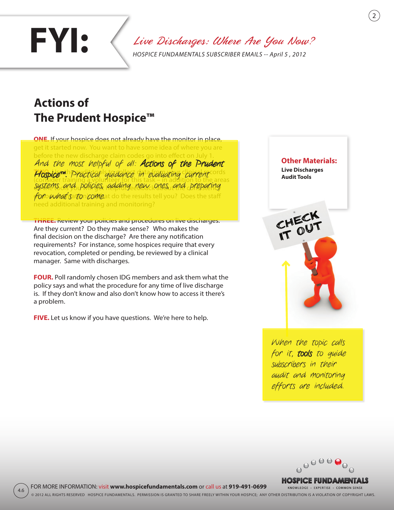# Live Discharges: Where Are You Now? **FYI:** *HOSPICE FUNDAMENTALS SUBSCRIBER EMAILS -- April 5 , 2012*

### **Actions of The Prudent Hospice™**

**ONE.** If your hospice does not already have the monitor in place, get it started now. You want to have some idea of where you are before the new discharge claim codes go into effect on July 1. Hospice<sup>m.</sup> Practical guidance in evaluating current ords (consider training a volunteer for this task – in addition to the areas systems and policies, adding new ones, and preparing  $\rlap{/}for$  what  $\rlap{/}s$  to  $\rlap{/}co$  Meat do the results tell you? Does the staff need additional training and monitoring? And the most helpful of all: Actions of the Prudent

**THREE.** Review your policies and procedures on live discharges. Are they current? Do they make sense? Who makes the final decision on the discharge? Are there any notification requirements? For instance, some hospices require that every revocation, completed or pending, be reviewed by a clinical manager. Same with discharges.

**FOUR.** Poll randomly chosen IDG members and ask them what the policy says and what the procedure for any time of live discharge is. If they don't know and also don't know how to access it there's a problem.

**FIVE.** Let us know if you have questions. We're here to help.

4.6



2

When the topic calls for it, tools to quide subscribers in their audit and monitoring efforts are included.



**HOSPICE FUNDAMENTALS** KNOWLEDGE · EXPERTISE · COMMON SENSE

FOR MORE INFORMATION: visit **www.hospicefundamentals.com** or call us at **919-491-0699** © 2012 All Rights Reserved Hospice Fundamentals. Permission is granted to share freely within your hospice; any other distribution is a violation of copyright laws.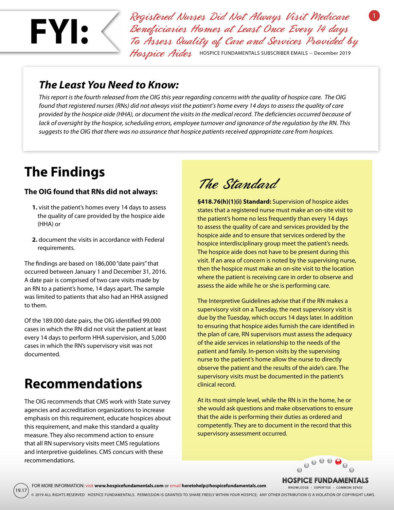

Registered Nurses Did Not Always Visit Medicare Beneficiaries Homes at Least Once Every 14 days To Assess Quality of Care and Services Provided by Hospice Aides HOSPICE FUNDAMENTALS SUBSCRIBER EMAILS -- December 2019

#### *The Least You Need to Know:*

*This report is the fourth released from the OIG this year regarding concerns with the quality of hospice care. The OIG found that registered nurses (RNs) did not always visit the patient's home every 14 days to assess the quality of care provided by the hospice aide (HHA), or document the* visits *in the medical record. The deficiencies occurred because of lack of oversight by the hospice, scheduling errors, employee turnover and ignorance of the regulation by the RN. This suggests to the OIG that there was no assurance that hospice patients received appropriate care from hospices.*

## **The Findings**

#### **The OIG found that RNs did not always:**

- **1.** visit the patient's homes every 14 days to assess the quality of care provided by the hospice aide (HHA) or
- **2.** document the visits in accordance with Federal requirements.

The findings are based on 186,000 "date pairs" that occurred between January 1 and December 31, 2016. A date pair is comprised of two care visits made by an RN to a patient's home, 14 days apart. The sample was limited to patients that also had an HHA assigned to them.

Of the 189.000 date pairs, the OIG identified 99,000 cases in which the RN did not visit the patient at least every 14 days to perform HHA supervision, and 5,000 cases in which the RN's supervisory visit was not documented.

# **Recommendations**

19.17

The OIG recommends that CMS work with State survey agencies and accreditation organizations to increase emphasis on this requirement, educate hospices about this requirement, and make this standard a quality measure. They also recommend action to ensure that all RN supervisory visits meet CMS regulations and interpretive guidelines. CMS concurs with these recommendations.

The Standard

**§418.76(h)(1)(i) Standard:** Supervision of hospice aides states that a registered nurse must make an on-site visit to the patient's home no less frequently than every 14 days to assess the quality of care and services provided by the hospice aide and to ensure that services ordered by the hospice interdisciplinary group meet the patient's needs. The hospice aide does not have to be present during this visit. If an area of concern is noted by the supervising nurse, then the hospice must make an on-site visit to the location where the patient is receiving care in order to observe and assess the aide while he or she is performing care.

The Interpretive Guidelines advise that if the RN makes a supervisory visit on a Tuesday, the next supervisory visit is due by the Tuesday, which occurs 14 days later. In addition to ensuring that hospice aides furnish the care identified in the plan of care, RN supervisors must assess the adequacy of the aide services in relationship to the needs of the patient and family. In-person visits by the supervising nurse to the patient's home allow the nurse to directly observe the patient and the results of the aide's care. The supervisory visits must be documented in the patient's clinical record.

At its most simple level, while the RN is in the home, he or she would ask questions and make observations to ensure that the aide is performing their duties as ordered and competently. They are to document in the record that this supervisory assessment occurred.



**HOSPICE FUNDAMENTALS** KNOWLEDGE · EXPERTISE · COMMON SENSE

© 2019 ALL RIGHTS RESERVED HOSPICE FUNDAMENTALS. PERMISSION IS GRANTED TO SHARE FREELY WITHIN YOUR HOSPICE; ANY OTHER DISTRIBUTION IS A VIOLATION OF COPYRIGHT LAWS.

FOR MORE INFORMATION: visit **www.hospicefundamentals.com** or email **heretohelp@hospicefundamentals.com**